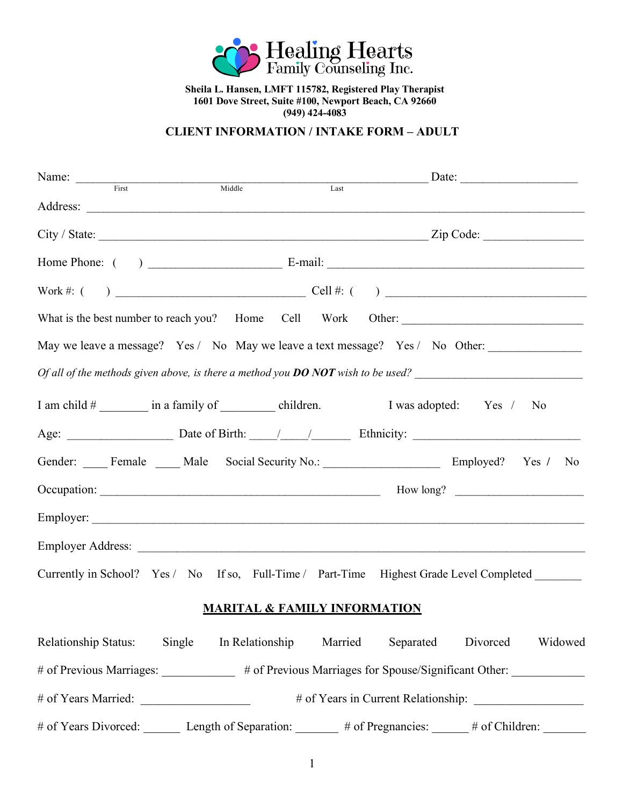

**Sheila L. Hansen, LMFT 115782, Registered Play Therapist 1601 Dove Street, Suite #100, Newport Beach, CA 92660 (949) 424-4083**

**CLIENT INFORMATION / INTAKE FORM – ADULT**

| Name: First Middle | $\begin{array}{c}\n\hline\n\text{Last} \\ \hline\n\end{array}$                                   |
|--------------------|--------------------------------------------------------------------------------------------------|
|                    |                                                                                                  |
|                    | $City / State: \_\_\_\_\_\_\_$                                                                   |
|                    |                                                                                                  |
|                    |                                                                                                  |
|                    |                                                                                                  |
|                    | May we leave a message? Yes / No May we leave a text message? Yes / No Other:                    |
|                    | Of all of the methods given above, is there a method you <b>DO NOT</b> wish to be used?          |
|                    | I am child # __________ in a family of ___________ children. I was adopted: Yes / No             |
|                    |                                                                                                  |
|                    | Gender: Female Male Social Security No.: Employed? Yes / No                                      |
|                    |                                                                                                  |
|                    |                                                                                                  |
|                    |                                                                                                  |
|                    | Currently in School? Yes / No If so, Full-Time / Part-Time Highest Grade Level Completed _______ |

## **MARITAL & FAMILY INFORMATION**

| <b>Relationship Status:</b> | Single | In Relationship       | Married | Separated                                             | Divorced         | Widowed |
|-----------------------------|--------|-----------------------|---------|-------------------------------------------------------|------------------|---------|
| $#$ of Previous Marriages:  |        |                       |         | # of Previous Marriages for Spouse/Significant Other: |                  |         |
| # of Years Married:         |        |                       |         | # of Years in Current Relationship:                   |                  |         |
| $#$ of Years Divorced:      |        | Length of Separation: |         | $#$ of Pregnancies:                                   | $#$ of Children: |         |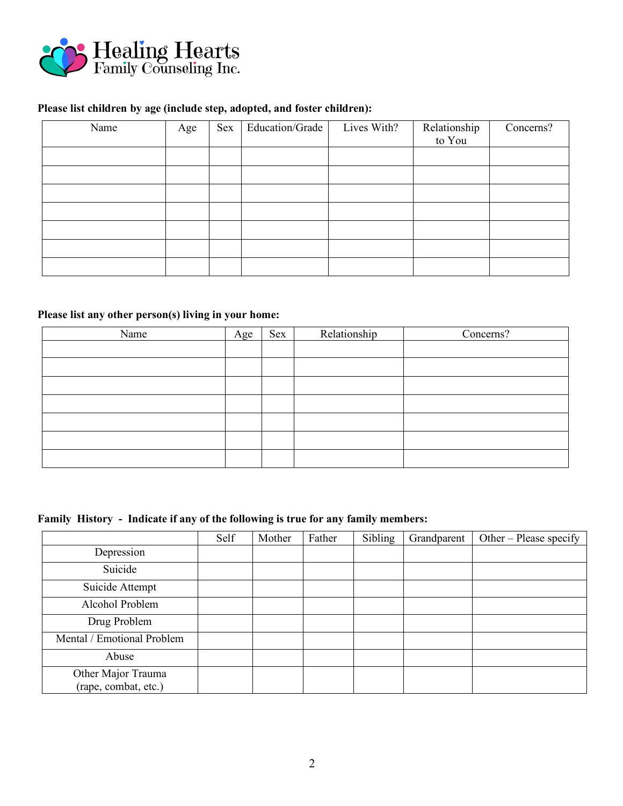

#### **Please list children by age (include step, adopted, and foster children):**

| Name | Age | Sex | Education/Grade | Lives With? | Relationship<br>to You | Concerns? |
|------|-----|-----|-----------------|-------------|------------------------|-----------|
|      |     |     |                 |             |                        |           |
|      |     |     |                 |             |                        |           |
|      |     |     |                 |             |                        |           |
|      |     |     |                 |             |                        |           |
|      |     |     |                 |             |                        |           |
|      |     |     |                 |             |                        |           |
|      |     |     |                 |             |                        |           |

## **Please list any other person(s) living in your home:**

| Name | Age | Sex | Relationship | Concerns? |
|------|-----|-----|--------------|-----------|
|      |     |     |              |           |
|      |     |     |              |           |
|      |     |     |              |           |
|      |     |     |              |           |
|      |     |     |              |           |
|      |     |     |              |           |
|      |     |     |              |           |

## **Family History - Indicate if any of the following is true for any family members:**

|                                            | Self | Mother | Father | Sibling | Grandparent | Other – Please specify |
|--------------------------------------------|------|--------|--------|---------|-------------|------------------------|
| Depression                                 |      |        |        |         |             |                        |
| Suicide                                    |      |        |        |         |             |                        |
| Suicide Attempt                            |      |        |        |         |             |                        |
| Alcohol Problem                            |      |        |        |         |             |                        |
| Drug Problem                               |      |        |        |         |             |                        |
| Mental / Emotional Problem                 |      |        |        |         |             |                        |
| Abuse                                      |      |        |        |         |             |                        |
| Other Major Trauma<br>(rape, combat, etc.) |      |        |        |         |             |                        |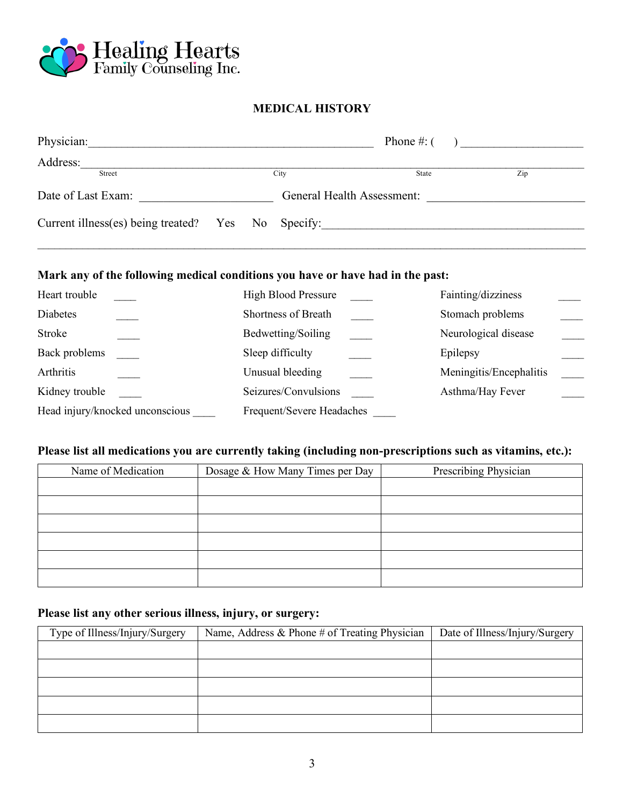

## **MEDICAL HISTORY**

| Physician:                                         |  |                            |       | Phone #: $($ ) |
|----------------------------------------------------|--|----------------------------|-------|----------------|
| Address:                                           |  |                            |       |                |
| Street                                             |  | City                       | State | Zip            |
| Date of Last Exam:                                 |  | General Health Assessment: |       |                |
| Current illness(es) being treated? Yes No Specify: |  |                            |       |                |

#### **Mark any of the following medical conditions you have or have had in the past:**

| Heart trouble                   | <b>High Blood Pressure</b> | Fainting/dizziness      |
|---------------------------------|----------------------------|-------------------------|
| Diabetes                        | Shortness of Breath        | Stomach problems        |
| Stroke                          | Bedwetting/Soiling         | Neurological disease    |
| Back problems                   | Sleep difficulty           | Epilepsy                |
| Arthritis                       | Unusual bleeding           | Meningitis/Encephalitis |
| Kidney trouble                  | Seizures/Convulsions       | Asthma/Hay Fever        |
| Head injury/knocked unconscious | Frequent/Severe Headaches  |                         |

## **Please list all medications you are currently taking (including non-prescriptions such as vitamins, etc.):**

| Name of Medication | Dosage & How Many Times per Day | Prescribing Physician |
|--------------------|---------------------------------|-----------------------|
|                    |                                 |                       |
|                    |                                 |                       |
|                    |                                 |                       |
|                    |                                 |                       |
|                    |                                 |                       |
|                    |                                 |                       |

## **Please list any other serious illness, injury, or surgery:**

| Type of Illness/Injury/Surgery | Name, Address $\&$ Phone # of Treating Physician | Date of Illness/Injury/Surgery |
|--------------------------------|--------------------------------------------------|--------------------------------|
|                                |                                                  |                                |
|                                |                                                  |                                |
|                                |                                                  |                                |
|                                |                                                  |                                |
|                                |                                                  |                                |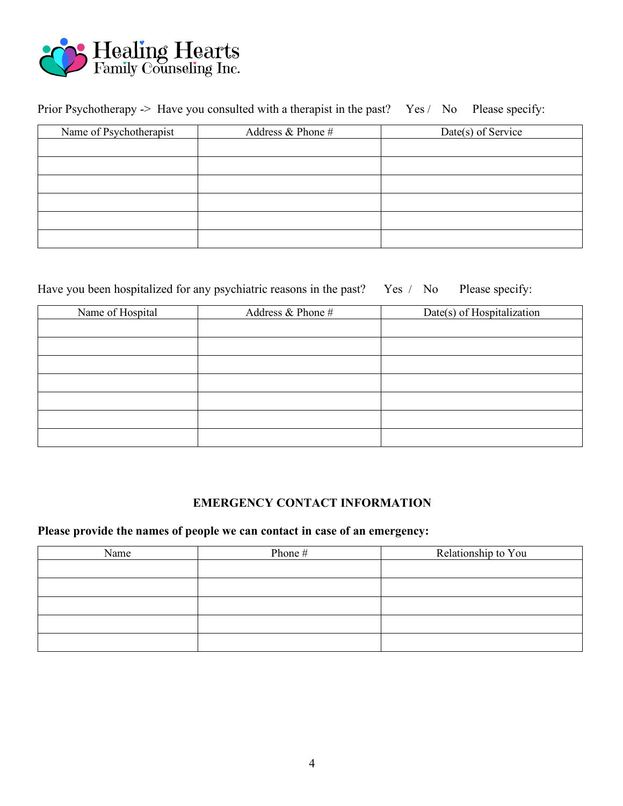

# Prior Psychotherapy -> Have you consulted with a therapist in the past?Yes / No Please specify:

| Name of Psychotherapist | Address $&$ Phone $#$ | Date(s) of Service |
|-------------------------|-----------------------|--------------------|
|                         |                       |                    |
|                         |                       |                    |
|                         |                       |                    |
|                         |                       |                    |
|                         |                       |                    |
|                         |                       |                    |

## Have you been hospitalized for any psychiatric reasons in the past? Yes / No Please specify:

| Name of Hospital | Address & Phone # | Date(s) of Hospitalization |
|------------------|-------------------|----------------------------|
|                  |                   |                            |
|                  |                   |                            |
|                  |                   |                            |
|                  |                   |                            |
|                  |                   |                            |
|                  |                   |                            |
|                  |                   |                            |

## **EMERGENCY CONTACT INFORMATION**

## **Please provide the names of people we can contact in case of an emergency:**

| Name | Phone # | Relationship to You |
|------|---------|---------------------|
|      |         |                     |
|      |         |                     |
|      |         |                     |
|      |         |                     |
|      |         |                     |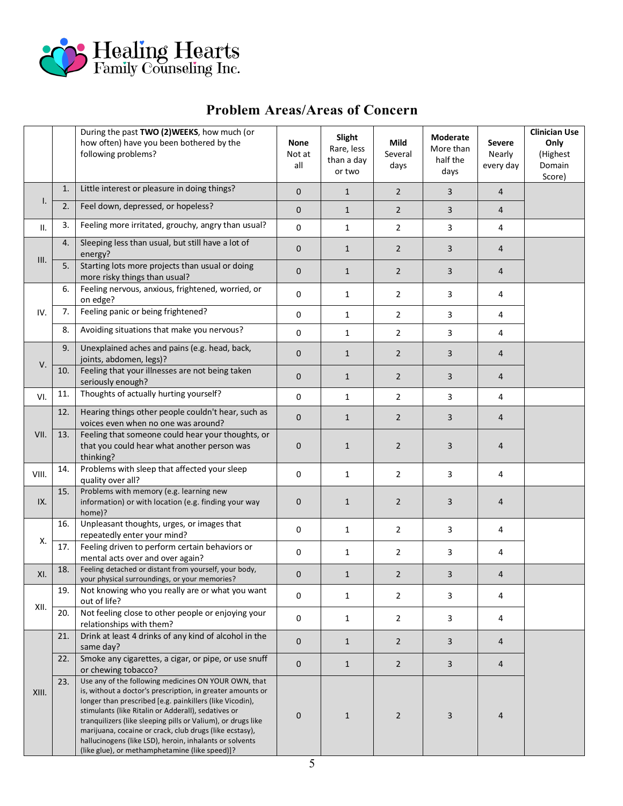

# **Problem Areas/Areas of Concern**

|       |     | During the past TWO (2)WEEKS, how much (or<br>how often) have you been bothered by the<br>following problems?                                                                                                                                                                                                                                                                                                                                                                 | None<br>Not at<br>all | Slight<br>Rare, less<br>than a day<br>or two | Mild<br>Several<br>days | Moderate<br>More than<br>half the<br>days | <b>Severe</b><br>Nearly<br>every day | <b>Clinician Use</b><br>Only<br>(Highest<br>Domain<br>Score) |
|-------|-----|-------------------------------------------------------------------------------------------------------------------------------------------------------------------------------------------------------------------------------------------------------------------------------------------------------------------------------------------------------------------------------------------------------------------------------------------------------------------------------|-----------------------|----------------------------------------------|-------------------------|-------------------------------------------|--------------------------------------|--------------------------------------------------------------|
| Ι.    | 1.  | Little interest or pleasure in doing things?                                                                                                                                                                                                                                                                                                                                                                                                                                  | $\mathbf 0$           | $\mathbf{1}$                                 | $\overline{2}$          | $\overline{3}$                            | $\overline{4}$                       |                                                              |
|       | 2.  | Feel down, depressed, or hopeless?                                                                                                                                                                                                                                                                                                                                                                                                                                            | $\mathbf 0$           | $\mathbf{1}$                                 | $\overline{2}$          | 3                                         | $\overline{4}$                       |                                                              |
| П.    | 3.  | Feeling more irritated, grouchy, angry than usual?                                                                                                                                                                                                                                                                                                                                                                                                                            | $\mathsf 0$           | $\mathbf{1}$                                 | $\overline{2}$          | 3                                         | 4                                    |                                                              |
| III.  | 4.  | Sleeping less than usual, but still have a lot of<br>energy?                                                                                                                                                                                                                                                                                                                                                                                                                  | $\mathbf 0$           | $\mathbf{1}$                                 | $\overline{2}$          | 3                                         | $\overline{4}$                       |                                                              |
|       | 5.  | Starting lots more projects than usual or doing<br>more risky things than usual?                                                                                                                                                                                                                                                                                                                                                                                              | $\mathbf 0$           | $\mathbf{1}$                                 | $\overline{2}$          | 3                                         | $\overline{4}$                       |                                                              |
| IV.   | 6.  | Feeling nervous, anxious, frightened, worried, or<br>on edge?                                                                                                                                                                                                                                                                                                                                                                                                                 | 0                     | $\mathbf{1}$                                 | $\overline{2}$          | 3                                         | 4                                    |                                                              |
|       | 7.  | Feeling panic or being frightened?                                                                                                                                                                                                                                                                                                                                                                                                                                            | 0                     | 1                                            | 2                       | 3                                         | 4                                    |                                                              |
|       | 8.  | Avoiding situations that make you nervous?                                                                                                                                                                                                                                                                                                                                                                                                                                    | 0                     | $\mathbf{1}$                                 | 2                       | 3                                         | 4                                    |                                                              |
| V.    | 9.  | Unexplained aches and pains (e.g. head, back,<br>joints, abdomen, legs)?                                                                                                                                                                                                                                                                                                                                                                                                      | $\mathbf 0$           | $\mathbf{1}$                                 | $\overline{2}$          | 3                                         | $\overline{4}$                       |                                                              |
|       | 10. | Feeling that your illnesses are not being taken<br>seriously enough?                                                                                                                                                                                                                                                                                                                                                                                                          | $\mathbf 0$           | $\mathbf{1}$                                 | $\overline{2}$          | 3                                         | 4                                    |                                                              |
| VI.   | 11. | Thoughts of actually hurting yourself?                                                                                                                                                                                                                                                                                                                                                                                                                                        | 0                     | $\mathbf{1}$                                 | $\overline{2}$          | 3                                         | 4                                    |                                                              |
| VII.  | 12. | Hearing things other people couldn't hear, such as<br>voices even when no one was around?                                                                                                                                                                                                                                                                                                                                                                                     | $\mathbf 0$           | $\mathbf{1}$                                 | $\overline{2}$          | 3                                         | $\overline{4}$                       |                                                              |
|       | 13. | Feeling that someone could hear your thoughts, or<br>that you could hear what another person was<br>thinking?                                                                                                                                                                                                                                                                                                                                                                 | $\mathbf 0$           | $\mathbf{1}$                                 | $\overline{2}$          | 3                                         | $\overline{4}$                       |                                                              |
| VIII. | 14. | Problems with sleep that affected your sleep<br>quality over all?                                                                                                                                                                                                                                                                                                                                                                                                             | 0                     | $\mathbf{1}$                                 | $\overline{2}$          | 3                                         | 4                                    |                                                              |
| IX.   | 15. | Problems with memory (e.g. learning new<br>information) or with location (e.g. finding your way<br>home)?                                                                                                                                                                                                                                                                                                                                                                     | $\mathbf 0$           | $\mathbf{1}$                                 | $\overline{2}$          | 3                                         | $\overline{4}$                       |                                                              |
| Χ.    | 16. | Unpleasant thoughts, urges, or images that<br>repeatedly enter your mind?                                                                                                                                                                                                                                                                                                                                                                                                     | 0                     | $\mathbf{1}$                                 | $\overline{2}$          | 3                                         | 4                                    |                                                              |
|       | 17. | Feeling driven to perform certain behaviors or<br>mental acts over and over again?                                                                                                                                                                                                                                                                                                                                                                                            | 0                     | $\mathbf{1}$                                 | $\overline{2}$          | 3                                         | 4                                    |                                                              |
| XI.   | 18. | Feeling detached or distant from yourself, your body,<br>your physical surroundings, or your memories?                                                                                                                                                                                                                                                                                                                                                                        | $\pmb{0}$             | $\mathbf 1$                                  | $\overline{2}$          | 3                                         | $\overline{4}$                       |                                                              |
| XII.  | 19. | Not knowing who you really are or what you want<br>out of life?                                                                                                                                                                                                                                                                                                                                                                                                               | 0                     | $\mathbf{1}$                                 | $\overline{2}$          | 3                                         | 4                                    |                                                              |
|       | 20. | Not feeling close to other people or enjoying your<br>relationships with them?                                                                                                                                                                                                                                                                                                                                                                                                | $\mathsf{O}\xspace$   | $\mathbf{1}$                                 | 2                       | 3                                         | 4                                    |                                                              |
| XIII. | 21. | Drink at least 4 drinks of any kind of alcohol in the<br>same day?                                                                                                                                                                                                                                                                                                                                                                                                            | $\mathbf 0$           | $\mathbf{1}$                                 | $\overline{2}$          | 3                                         | $\overline{4}$                       |                                                              |
|       | 22. | Smoke any cigarettes, a cigar, or pipe, or use snuff<br>or chewing tobacco?                                                                                                                                                                                                                                                                                                                                                                                                   | $\pmb{0}$             | $\mathbf{1}$                                 | $\overline{2}$          | 3                                         | $\overline{4}$                       |                                                              |
|       | 23. | Use any of the following medicines ON YOUR OWN, that<br>is, without a doctor's prescription, in greater amounts or<br>longer than prescribed [e.g. painkillers (like Vicodin),<br>stimulants (like Ritalin or Adderall), sedatives or<br>tranquilizers (like sleeping pills or Valium), or drugs like<br>marijuana, cocaine or crack, club drugs (like ecstasy),<br>hallucinogens (like LSD), heroin, inhalants or solvents<br>(like glue), or methamphetamine (like speed)]? | $\mathbf 0$           | $\mathbf{1}$                                 | $\overline{2}$          | 3                                         | $\overline{4}$                       |                                                              |